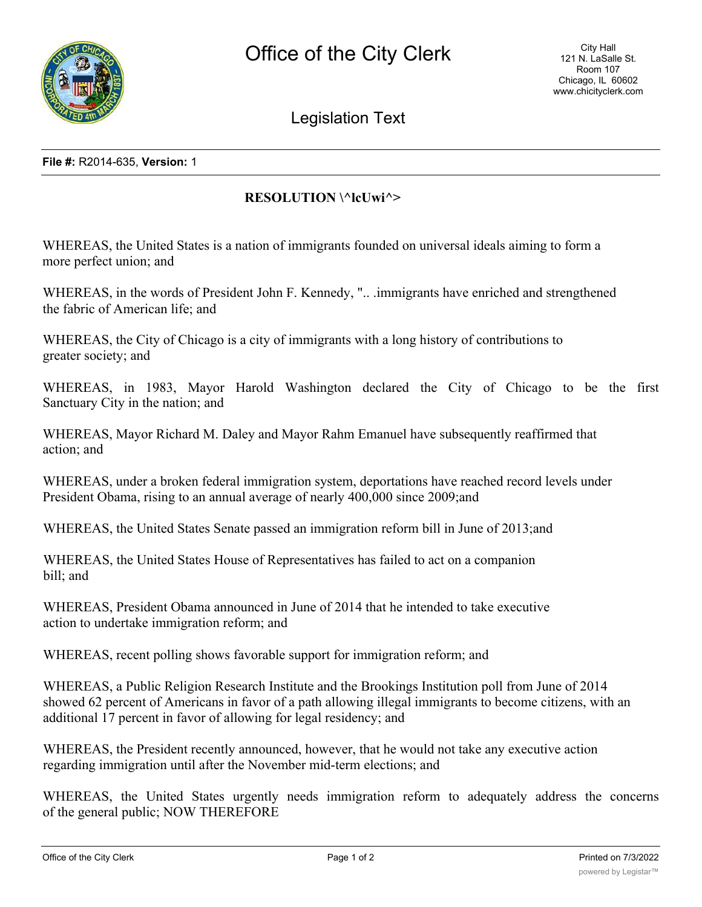

Legislation Text

## **File #:** R2014-635, **Version:** 1

## **RESOLUTION \^lcUwi^>**

WHEREAS, the United States is a nation of immigrants founded on universal ideals aiming to form a more perfect union; and

WHEREAS, in the words of President John F. Kennedy, ".. .immigrants have enriched and strengthened the fabric of American life; and

WHEREAS, the City of Chicago is a city of immigrants with a long history of contributions to greater society; and

WHEREAS, in 1983, Mayor Harold Washington declared the City of Chicago to be the first Sanctuary City in the nation; and

WHEREAS, Mayor Richard M. Daley and Mayor Rahm Emanuel have subsequently reaffirmed that action; and

WHEREAS, under a broken federal immigration system, deportations have reached record levels under President Obama, rising to an annual average of nearly 400,000 since 2009;and

WHEREAS, the United States Senate passed an immigration reform bill in June of 2013;and

WHEREAS, the United States House of Representatives has failed to act on a companion bill; and

WHEREAS, President Obama announced in June of 2014 that he intended to take executive action to undertake immigration reform; and

WHEREAS, recent polling shows favorable support for immigration reform; and

WHEREAS, a Public Religion Research Institute and the Brookings Institution poll from June of 2014 showed 62 percent of Americans in favor of a path allowing illegal immigrants to become citizens, with an additional 17 percent in favor of allowing for legal residency; and

WHEREAS, the President recently announced, however, that he would not take any executive action regarding immigration until after the November mid-term elections; and

WHEREAS, the United States urgently needs immigration reform to adequately address the concerns of the general public; NOW THEREFORE